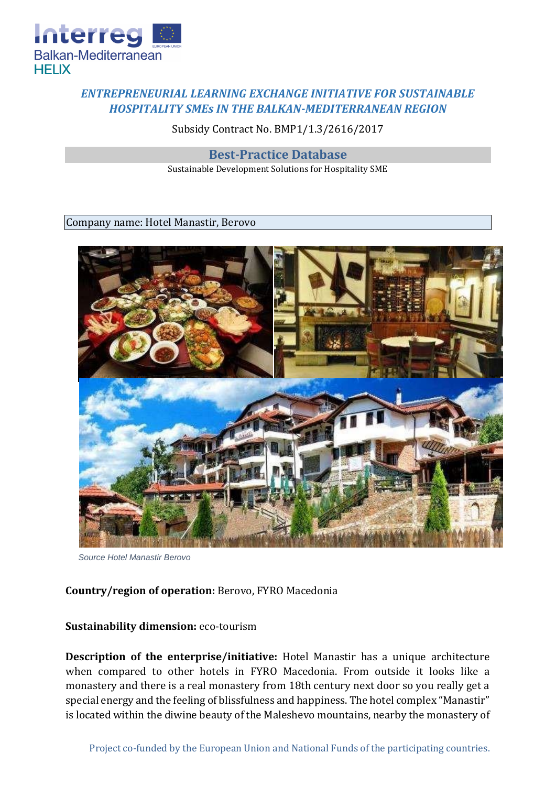

## *ENTREPRENEURIAL LEARNING EXCHANGE INITIATIVE FOR SUSTAINABLE HOSPITALITY SMEs IN THE BALKAN-MEDITERRANEAN REGION*

Subsidy Contract No. BMP1/1.3/2616/2017

**Best-Practice Database**

Sustainable Development Solutions for Hospitality SME

Company name: Hotel Manastir, Berovo



*Source Hotel Manastir Berovo*

## **Country/region of operation:** Berovo, FYRO Macedonia

## **Sustainability dimension:** eco-tourism

**Description of the enterprise/initiative:** Hotel Manastir has a unique architecture when compared to other hotels in FYRO Macedonia. From outside it looks like a monastery and there is a real monastery from 18th century next door so you really get a special energy and the feeling of blissfulness and happiness. The hotel complex "Manastir" is located within the diwine beauty of the Maleshevo mountains, nearby the monastery of

Project co-funded by the European Union and National Funds of the participating countries.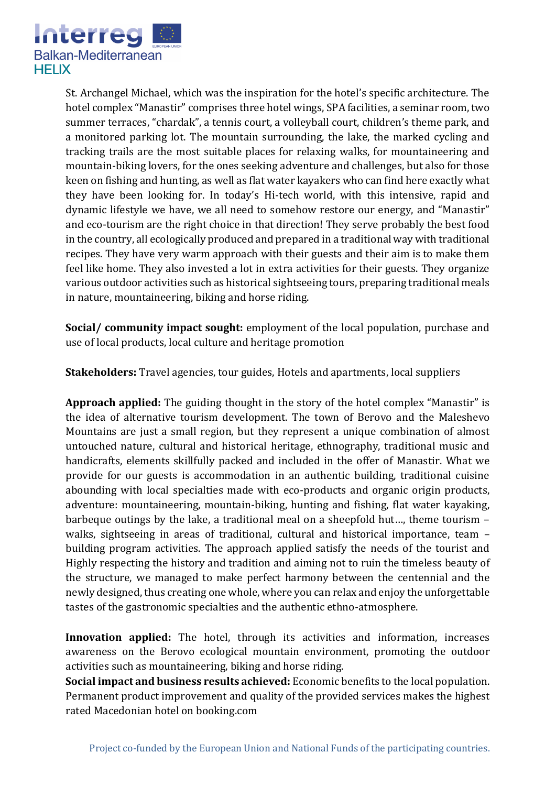

St. Archangel Michael, which was the inspiration for the hotel's specific architecture. The hotel complex "Manastir" comprises three hotel wings, SPA facilities, a seminar room, two summer terraces, "chardak", a tennis court, a volleyball court, children's theme park, and a monitored parking lot. The mountain surrounding, the lake, the marked cycling and tracking trails are the most suitable places for relaxing walks, for mountaineering and mountain-biking lovers, for the ones seeking adventure and challenges, but also for those keen on fishing and hunting, as well as flat water kayakers who can find here exactly what they have been looking for. In today's Hi-tech world, with this intensive, rapid and dynamic lifestyle we have, we all need to somehow restore our energy, and "Manastir" and eco-tourism are the right choice in that direction! They serve probably the best food in the country, all ecologically produced and prepared in a traditional way with traditional recipes. They have very warm approach with their guests and their aim is to make them feel like home. They also invested a lot in extra activities for their guests. They organize various outdoor activities such as historical sightseeing tours, preparing traditional meals in nature, mountaineering, biking and horse riding.

**Social/ community impact sought:** employment of the local population, purchase and use of local products, local culture and heritage promotion

**Stakeholders:** Travel agencies, tour guides, Hotels and apartments, local suppliers

**Approach applied:** The guiding thought in the story of the hotel complex "Manastir" is the idea of alternative tourism development. The town of Berovo and the Maleshevo Mountains are just a small region, but they represent a unique combination of almost untouched nature, cultural and historical heritage, ethnography, traditional music and handicrafts, elements skillfully packed and included in the offer of Manastir. What we provide for our guests is accommodation in an authentic building, traditional cuisine abounding with local specialties made with eco-products and organic origin products, adventure: mountaineering, mountain-biking, hunting and fishing, flat water kayaking, barbeque outings by the lake, a traditional meal on a sheepfold hut…, theme tourism – walks, sightseeing in areas of traditional, cultural and historical importance, team – building program activities. The approach applied satisfy the needs of the tourist and Highly respecting the history and tradition and aiming not to ruin the timeless beauty of the structure, we managed to make perfect harmony between the centennial and the newly designed, thus creating one whole, where you can relax and enjoy the unforgettable tastes of the gastronomic specialties and the authentic ethno-atmosphere.

**Innovation applied:** The hotel, through its activities and information, increases awareness on the Berovo ecological mountain environment, promoting the outdoor activities such as mountaineering, biking and horse riding.

**Social impact and business results achieved:** Economic benefits to the local population. Permanent product improvement and quality of the provided services makes the highest rated Macedonian hotel on booking.com